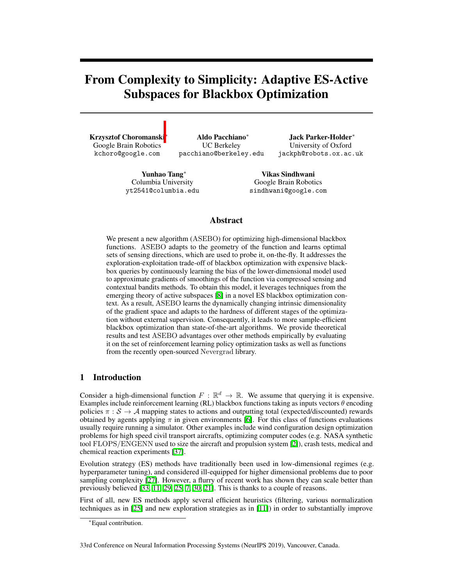# From Complexity to Simplicity: Adaptive ES-Active Subspaces for Blackbox Optimization

Krzysztof Choromanski Google Brain Robotics kchoro@google.com

Aldo Pacchiano<sup>\*</sup> UC Berkeley pacchiano@berkeley.edu

Jack Parker-Holder<sup>\*</sup> University of Oxford jackph@robots.ox.ac.uk

Yunhao Tang<sup>\*</sup> Columbia University yt2541@columbia.edu

Vikas Sindhwani Google Brain Robotics sindhwani@google.com

# Abstract

We present a new algorithm (ASEBO) for optimizing high-dimensional blackbox functions. ASEBO adapts to the geometry of the function and learns optimal sets of sensing directions, which are used to probe it, on-the-fly. It addresses the exploration-exploitation trade-off of blackbox optimization with expensive blackbox queries by continuously learning the bias of the lower-dimensional model used to approximate gradients of smoothings of the function via compressed sensing and contextual bandits methods. To obtain this model, it leverages techniques from the emerging theory of active subspaces  $[8]$  in a novel ES blackbox optimization context. As a result, ASEBO learns the dynamically changing intrinsic dimensionality of the gradient space and adapts to the hardness of different stages of the optimization without external supervision. Consequently, it leads to more sample-efficient blackbox optimization than state-of-the-art algorithms. We provide theoretical results and test ASEBO advantages over other methods empirically by evaluating it on the set of reinforcement learning policy optimization tasks as well as functions from the recently open-sourced Nevergrad library.

# 1 Introduction

Consider a high-dimensional function  $F : \mathbb{R}^d \to \mathbb{R}$ . We assume that querying it is expensive. Examples include reinforcement learning (RL) blackbox functions taking as inputs vectors  $\theta$  encoding policies  $\pi : S \to A$  mapping states to actions and outputting total (expected/discounted) rewards obtained by agents applying  $\pi$  in given environments [\[6\]](#page-8-1). For this class of functions evaluations usually require running a simulator. Other examples include wind configuration design optimization problems for high speed civil transport aircrafts, optimizing computer codes (e.g. NASA synthetic tool FLOPS*/*ENGENN used to size the aircraft and propulsion system [\[2\]](#page-8-2)), crash tests, medical and chemical reaction experiments [\[37\]](#page-10-0).

Evolution strategy (ES) methods have traditionally been used in low-dimensional regimes (e.g. hyperparameter tuning), and considered ill-equipped for higher dimensional problems due to poor sampling complexity  $[27]$ . However, a flurry of recent work has shown they can scale better than previously believed  $\boxed{33}$ ,  $\boxed{11}$ ,  $\boxed{29}$ ,  $\boxed{25}$ ,  $\boxed{7}$ ,  $\boxed{30}$ ,  $\boxed{21}$ . This is thanks to a couple of reasons.

First of all, new ES methods apply several efficient heuristics (filtering, various normalization techniques as in  $[25]$  and new exploration strategies as in  $[11]$ ) in order to substantially improve

<sup>⇤</sup>Equal contribution.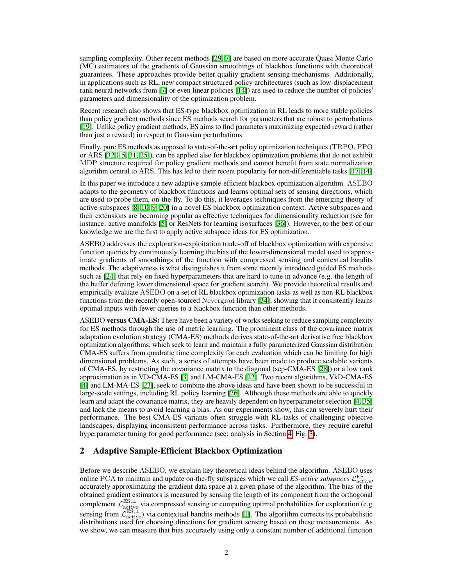sampling complexity. Other recent methods  $\sqrt{29}$ ,  $\sqrt{7}$  are based on more accurate Quasi Monte Carlo (MC) estimators of the gradients of Gaussian smoothings of blackbox functions with theoretical guarantees. These approaches provide better quality gradient sensing mechanisms. Additionally, in applications such as RL, new compact structured policy architectures (such as low-displacement rank neural networks from  $\sqrt{2}$  or even linear policies  $\sqrt{14}$ ) are used to reduce the number of policies' parameters and dimensionality of the optimization problem.

Recent research also shows that ES-type blackbox optimization in RL leads to more stable policies than policy gradient methods since ES methods search for parameters that are robust to perturbations [\[19\]](#page-9-6). Unlike policy gradient methods, ES aims to find parameters maximizing expected reward (rather than just a reward) in respect to Gaussian perturbations.

Finally, pure ES methods as opposed to state-of-the-art policy optimization techniques (TRPO, PPO or ARS  $[32, 15, 31, 25]$  $[32, 15, 31, 25]$  $[32, 15, 31, 25]$  $[32, 15, 31, 25]$  $[32, 15, 31, 25]$  $[32, 15, 31, 25]$  $[32, 15, 31, 25]$ , can be applied also for blackbox optimization problems that do not exhibit MDP structure required for policy gradient methods and cannot benefit from state normalization algorithm central to ARS. This has led to their recent popularity for non-differentiable tasks  $[17, 14]$  $[17, 14]$  $[17, 14]$ .

In this paper we introduce a new adaptive sample-efficient blackbox optimization algorithm. ASEBO adapts to the geometry of blackbox functions and learns optimal sets of sensing directions, which are used to probe them, on-the-fly. To do this, it leverages techniques from the emerging theory of active subspaces  $[8, 10, 9, 20]$  $[8, 10, 9, 20]$  $[8, 10, 9, 20]$  $[8, 10, 9, 20]$  $[8, 10, 9, 20]$  $[8, 10, 9, 20]$  $[8, 10, 9, 20]$  in a novel ES blackbox optimization context. Active subspaces and their extensions are becoming popular as effective techniques for dimensionality reduction (see for instance: active manifolds  $\boxed{5}$  or ResNets for learning isosurfaces  $\boxed{36}$ . However, to the best of our knowledge we are the first to apply active subspace ideas for ES optimization.

ASEBO addresses the exploration-exploitation trade-off of blackbox optimization with expensive function queries by continuously learning the bias of the lower-dimensional model used to approximate gradients of smoothings of the function with compressed sensing and contextual bandits methods. The adaptiveness is what distinguishes it from some recently introduced guided ES methods such as  $[24]$  that rely on fixed hyperparameters that are hard to tune in advance (e.g. the length of the buffer defining lower dimensional space for gradient search). We provide theoretical results and empirically evaluate ASEBO on a set of RL blackbox optimization tasks as well as non-RL blackbox functions from the recently open-sourced Nevergrad library [\[34\]](#page-9-13), showing that it consistently learns optimal inputs with fewer queries to a blackbox function than other methods.

ASEBO versus CMA-ES: There have been a variety of works seeking to reduce sampling complexity for ES methods through the use of metric learning. The prominent class of the covariance matrix adaptation evolution strategy (CMA-ES) methods derives state-of-the-art derivative free blackbox optimization algorithms, which seek to learn and maintain a fully parameterized Gaussian distribution. CMA-ES suffers from quadratic time complexity for each evaluation which can be limiting for high dimensional problems. As such, a series of attempts have been made to produce scalable variants of CMA-ES, by restricting the covariance matrix to the diagonal (sep-CMA-ES  $[28]$ ) or a low rank approximation as in VD-CMA-ES  $\left[\frac{3}{2}\right]$  and LM-CMA-ES  $\left[\frac{22}{2}\right]$ . Two recent algorithms, VkD-CMA-ES  $[4]$  and LM-MA-ES  $[23]$ , seek to combine the above ideas and have been shown to be successful in large-scale settings, including RL policy learning  $[26]$ . Although these methods are able to quickly learn and adapt the covariance matrix, they are heavily dependent on hyperparameter selection  $[4]$ ,  $[35]$  $[35]$ and lack the means to avoid learning a bias. As our experiments show, this can severely hurt their performance. The best CMA-ES variants often struggle with RL tasks of challenging objecive landscapes, displaying inconsistent performance across tasks. Furthermore, they require careful hyperparameter tuning for good performance (see: analysis in Section  $\frac{1}{4}$ , Fig.  $\frac{1}{3}$ ).

## 2 Adaptive Sample-Efficient Blackbox Optimization

Before we describe ASEBO, we explain key theoretical ideas behind the algorithm. ASEBO uses online PCA to maintain and update on-the-fly subspaces which we call *ES-active subspaces*  $\mathcal{L}^{\text{ES}}_{\text{active}}$ , accurately approximating the gradient data space at a given phase of the algorithm. The bias of the obtained gradient estimators is measured by sensing the length of its component from the orthogonal complement  $\mathcal{L}^{\text{ES},\perp}_{\text{active}}$  via compressed sensing or computing optimal probabilities for exploration (e.g. sensing from  $\mathcal{L}_{\text{active}}^{\text{ES},\perp}$ ) via contextual bandits methods  $\boxed{1}$ . The algorithm corrects its probabilistic distributions used for choosing directions for gradient sensing based on these measurements. As we show, we can measure that bias accurately using only a constant number of additional function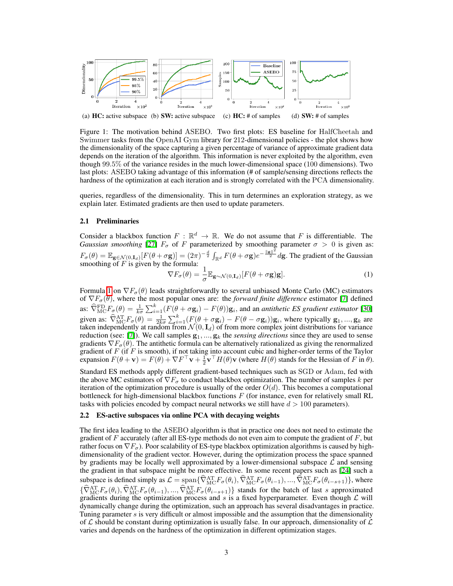

<span id="page-2-1"></span>Figure 1: The motivation behind ASEBO. Two first plots: ES baseline for HalfCheetah and Swimmer tasks from the OpenAI Gym library for 212-dimensional policies - the plot shows how the dimensionality of the space capturing a given percentage of variance of approximate gradient data depends on the iteration of the algorithm. This information is never exploited by the algorithm, even though 99*.*5% of the variance resides in the much lower-dimensional space (100 dimensions). Two last plots: ASEBO taking advantage of this information (# of sample/sensing directions reflects the hardness of the optimization at each iteration and is strongly correlated with the PCA dimensionality.

queries, regardless of the dimensionality. This in turn determines an exploration strategy, as we explain later. Estimated gradients are then used to update parameters.

## 2.1 Preliminaries

Consider a blackbox function  $F : \mathbb{R}^d \to \mathbb{R}$ . We do not assume that *F* is differentiable. The *Gaussian smoothing* [\[27\]](#page-9-0)  $F_{\sigma}$  of *F* parameterized by smoothing parameter  $\sigma > 0$  is given as:  $F_{\sigma}(\theta) = \mathbb{E}_{\mathbf{g} \in \mathcal{N}(0,\mathbf{I}_d)}[F(\theta + \sigma \mathbf{g})] = (2\pi)^{-\frac{d}{2}} \int_{\mathbb{R}^d} F(\theta + \sigma \mathbf{g}) e^{-\frac{\|\mathbf{g}\|^2}{2}} d\mathbf{g}$ . The gradient of the Gaussian smoothing of *F* is given by the formula:<br> $\nabla F_{\sigma}(\theta) = \frac{1}{\sigma}$ 

<span id="page-2-0"></span>
$$
\nabla F_{\sigma}(\theta) = \frac{1}{\sigma} \mathbb{E}_{\mathbf{g} \sim \mathcal{N}(0, \mathbf{I}_d)} [F(\theta + \sigma \mathbf{g}) \mathbf{g}]. \tag{1}
$$

Formula  $\overline{\Pi}$  on  $\nabla F_{\sigma}(\theta)$  leads straightforwardly to several unbiased Monte Carlo (MC) estimators of  $\nabla F_{\sigma}(\theta)$ , where the most popular ones are: the *forward finite difference* estimator  $\boxed{7}$  defined as:  $\widehat{\nabla}_{\text{MC}}^{\text{FD}}F_{\sigma}(\theta) = \frac{1}{k\sigma}\sum_{i=1}^{k}(F(\theta + \sigma \mathbf{g}_i) - F(\theta))\mathbf{g}_i$ , and an *antithetic ES gradient estimator* [\[30\]](#page-9-4) given as:  $\widehat{\nabla}_{\text{MC}}^{\text{AT}}F_{\sigma}(\theta) = \frac{1}{2k\sigma}\sum_{i=1}^{k}(F(\theta + \sigma \mathbf{g}_i) - F(\theta - \sigma \mathbf{g}_i))\mathbf{g}_i$ , where typically  $\mathbf{g}_1, ..., \mathbf{g}_k$  are taken independently at random from  $\mathcal{N}(0, \mathbf{I}_d)$  of from more complex joint distributions for variance reduction (see:  $\llbracket \mathbf{Z} \rrbracket$ ). We call samples  $\mathbf{g}_1, ..., \mathbf{g}_k$  the *sensing directions* since they are used to sense gradients  $\nabla F_{\sigma}(\theta)$ . The antithetic formula can be alternatively rationalized as giving the renormalized gradient of *F* (if *F* is smooth), if not taking into account cubic and higher-order terms of the Taylor expansion  $F(\theta + \mathbf{v}) = F(\theta) + \nabla F^{\top} \mathbf{v} + \frac{1}{2} \mathbf{v}^{\top} H(\theta) \mathbf{v}$  (where  $H(\theta)$  stands for the Hessian of *F* in  $\theta$ ).

Standard ES methods apply different gradient-based techniques such as SGD or Adam, fed with the above MC estimators of  $\nabla F_{\sigma}$  to conduct blackbox optimization. The number of samples *k* per iteration of the optimization procedure is usually of the order  $O(d)$ . This becomes a computational bottleneck for high-dimensional blackbox functions *F* (for instance, even for relatively small RL tasks with policies encoded by compact neural networks we still have *d >* 100 parameters).

## 2.2 ES-active subspaces via online PCA with decaying weights

The first idea leading to the ASEBO algorithm is that in practice one does not need to estimate the gradient of *F* accurately (after all ES-type methods do not even aim to compute the gradient of *F*, but rather focus on  $\nabla F_{\sigma}$ ). Poor scalability of ES-type blackbox optimization algorithms is caused by highdimensionality of the gradient vector. However, during the optimization process the space spanned by gradients may be locally well approximated by a lower-dimensional subspace *L* and sensing the gradient in that subspace might be more effective. In some recent papers such as  $[24]$  such a subspace is defined simply as  $\mathcal{L} = \text{span}\{\nabla_{\text{MC}}^{\text{AT}}F_{\sigma}(\theta_i), \nabla_{\text{MC}}^{\text{AT}}F_{\sigma}(\theta_{i-1}), ..., \nabla_{\text{MC}}^{\text{AT}}F_{\sigma}(\theta_{i-s+1})\}\n$ , where  $\{\widehat{\nabla}_{\text{MC}}^{\text{AT}}F_{\sigma}(\theta_i), \widehat{\nabla}_{\text{MC}}^{\text{AT}}F_{\sigma}(\theta_{i-1}), ..., \widehat{\nabla}_{\text{MC}}^{\text{AT}}F_{\sigma}(\theta_{i-s+1})\}$  stands for the batch of last *s* approximated gradients during the optimization process and *s* is a fixed hyperparameter. Even though *L* will dynamically change during the optimization, such an approach has several disadvantages in practice. Tuning parameter *s* is very difficult or almost impossible and the assumption that the dimensionality of *L* should be constant during optimization is usually false. In our approach, dimensionality of *L* varies and depends on the hardness of the optimization in different optimization stages.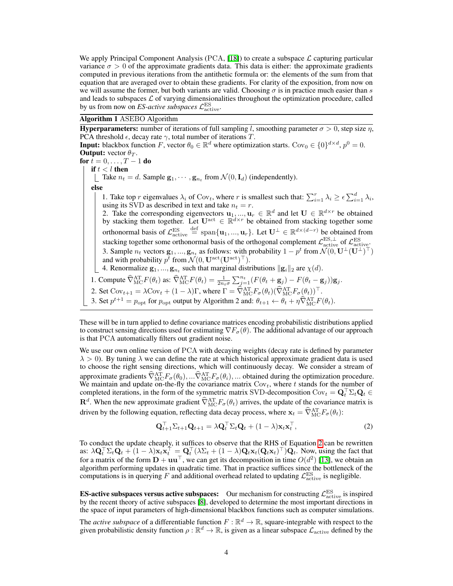We apply Principal Component Analysis (PCA, **[\[18\]](#page-9-18)**) to create a subspace  $\mathcal{L}$  capturing particular variance  $\sigma > 0$  of the approximate gradients data. This data is either: the approximate gradients computed in previous iterations from the antithetic formula or: the elements of the sum from that equation that are averaged over to obtain these gradients. For clarity of the exposition, from now on we will assume the former, but both variants are valid. Choosing  $\sigma$  is in practice much easier than *s* and leads to subspaces *L* of varying dimensionalities throughout the optimization procedure, called by us from now on *ES-active subspaces*  $\mathcal{L}^{\text{ES}}_{\text{active}}$ .

### Algorithm 1 ASEBO Algorithm

**Hyperparameters:** number of iterations of full sampling *l*, smoothing parameter  $\sigma > 0$ , step size  $\eta$ , PCA threshold  $\epsilon$ , decay rate  $\gamma$ , total number of iterations *T*. **Input:** blackbox function *F*, vector  $\theta_0 \in \mathbb{R}^d$  where optimization starts. Cov<sub>0</sub>  $\in \{0\}^{d \times d}$ ,  $p^0 = 0$ . **Output:** vector  $\theta_T$ . for  $t = 0, ..., T - 1$  do if  $t < l$  then Take  $n_t = d$ . Sample  $\mathbf{g}_1, \dots, \mathbf{g}_{n_t}$  from  $\mathcal{N}(0, \mathbf{I}_d)$  (independently). else 1. Take top *r* eigenvalues  $\lambda_i$  of Cov<sub>t</sub>, where *r* is smallest such that:  $\sum_{i=1}^r \lambda_i \ge \epsilon \sum_{i=1}^d \lambda_i$ , using its SVD as described in text and take  $n_t = r$ . 2. Take the corresponding eigenvectors  $\mathbf{u}_1, ..., \mathbf{u}_r \in \mathbb{R}^d$  and let  $\mathbf{U} \in \mathbb{R}^{d \times r}$  be obtained by stacking them together. Let  $U^{\text{act}} \in \mathbb{R}^{d \times r}$  be obtained from stacking together some orthonormal basis of  $\mathcal{L}^{\text{ES}}_{\text{active}}$  $\stackrel{\text{def}}{=}$  span $\{\mathbf{u}_1, ..., \mathbf{u}_r\}$ . Let  $\mathbf{U}^{\perp} \in \mathbb{R}^{d \times (d-r)}$  be obtained from stacking together some orthonormal basis of the orthogonal complement  $\mathcal{L}^{\text{ES},\perp}_{\text{active}}$  of  $\mathcal{L}^{\text{ES}}_{\text{active}}$ 3. Sample  $n_t$  vectors  $\mathbf{g}_1, ..., \mathbf{g}_{n_t}$  as follows: with probability  $1 - p^t$  from  $\mathcal{N}(0, \mathbf{U}^{\perp}(\mathbf{U}^{\perp})^{\top})$ and with probability  $p^t$  from  $\mathcal{N}(0, \mathbf{U}^{\text{act}}(\mathbf{U}^{\text{act}})^{\top}).$ 4. Renormalize  $\mathbf{g}_1, ..., \mathbf{g}_{n_t}$  such that marginal distributions  $\|\mathbf{g}_i\|_2$  are  $\chi(d)$ . 1. Compute  $\widehat{\nabla}_{\text{MC}}^{\text{AT}}F(\theta_t)$  as:  $\widehat{\nabla}_{\text{MC}}^{\text{AT}}F(\theta_t) = \frac{1}{2n_t\sigma}\sum_{j=1}^{n_t} (F(\theta_t + \mathbf{g}_j) - F(\theta_t - \mathbf{g}_j))\mathbf{g}_j$ . 2. Set  $Cov_{t+1} = \lambda Cov_t + (1 - \lambda)\Gamma$ , where  $\Gamma = \widehat{\nabla}_{MC}^{AT}F_{\sigma}(\theta_t)(\widehat{\nabla}_{MC}^{AT}F_{\sigma}(\theta_t))^{\top}$ . 3. Set  $p^{t+1} = p_{\text{opt}}$  for  $p_{\text{opt}}$  output by Algorithm 2 and:  $\theta_{t+1} \leftarrow \theta_t + \eta \hat{\nabla}_{\text{MC}}^{\text{AT}} F(\theta_t)$ .

These will be in turn applied to define covariance matrices encoding probabilistic distributions applied to construct sensing directions used for estimating  $\nabla F_{\sigma}(\theta)$ . The additional advantage of our approach is that PCA automatically filters out gradient noise.

We use our own online version of PCA with decaying weights (decay rate is defined by parameter  $\lambda > 0$ ). By tuning  $\lambda$  we can define the rate at which historical approximate gradient data is used to choose the right sensing directions, which will continuously decay. We consider a stream of approximate gradients  $\widehat{\nabla}_{\text{MC}}^{\text{AT}}F_{\sigma}(\theta_0), \dots \widehat{\nabla}_{\text{MC}}^{\text{AT}}F_{\sigma}(\theta_i), \dots$  obtained during the optimization procedure. We maintain and update on-the-fly the covariance matrix  $Cov_t$ , where  $t$  stands for the number of completed iterations, in the form of the symmetric matrix SVD-decomposition Cov<sub>t</sub> =  $Q_t^{\perp} \Sigma_t Q_t \in$  $\mathbf{R}^d$ . When the new approximate gradient  $\widehat{\nabla}_{\text{MC}}^{\text{AT}}F_{\sigma}(\theta_t)$  arrives, the update of the covariance matrix is driven by the following equation, reflecting data decay process, where  $\mathbf{x}_t = \widehat{\nabla}_{\text{MC}}^{\text{AT}} F_{\sigma}(\theta_t)$ :

<span id="page-3-0"></span>
$$
\mathbf{Q}_{t+1}^{\top} \Sigma_{t+1} \mathbf{Q}_{t+1} = \lambda \mathbf{Q}_t^{\top} \Sigma_t \mathbf{Q}_t + (1 - \lambda) \mathbf{x}_t \mathbf{x}_t^{\top},
$$
\n(2)

To conduct the update cheaply, it suffices to observe that the RHS of Equation  $2$  can be rewritten as:  $\lambda \mathbf{Q}_t^{\top} \Sigma_t \mathbf{Q}_t + (1 - \lambda) \mathbf{x}_t \mathbf{x}_t^{\top} = \mathbf{Q}_t^{\top} (\lambda \Sigma_t + (1 - \lambda) \mathbf{Q}_t \mathbf{x}_t (\mathbf{Q}_t \mathbf{x}_t)^{\top}) \mathbf{Q}_t$ . Now, using the fact that for a matrix of the form  $D + uu^{\top}$ , we can get its decomposition in time  $O(d^2)$  [\[13\]](#page-8-12), we obtain an algorithm performing updates in quadratic time. That in practice suffices since the bottleneck of the computations is in querying *F* and additional overhead related to updating  $\mathcal{L}^{\text{ES}}_{\text{active}}$  is negligible.

**ES-active subspaces versus active subspaces:** Our mechanism for constructing  $\mathcal{L}^{\text{ES}}_{\text{active}}$  is inspired by the recent theory of active subspaces  $[\mathbf{8}]$ , developed to determine the most important directions in the space of input parameters of high-dimensional blackbox functions such as computer simulations.

The *active subspace* of a differentiable function  $F : \mathbb{R}^d \to \mathbb{R}$ , square-integrable with respect to the given probabilistic density function  $\rho : \mathbb{R}^d \to \mathbb{R}$ , is given as a linear subspace  $\mathcal{L}_{\text{active}}$  defined by the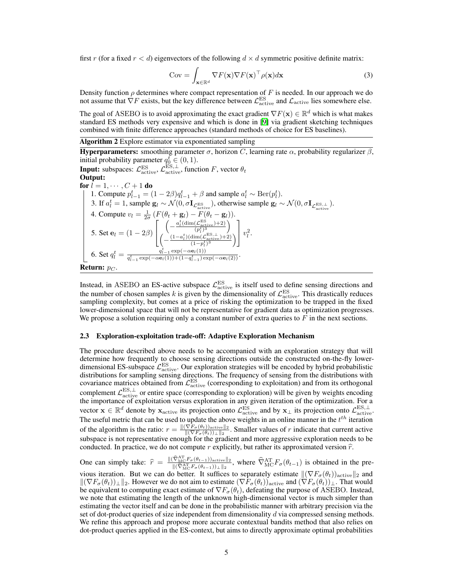first *r* (for a fixed  $r < d$ ) eigenvectors of the following  $d \times d$  symmetric positive definite matrix:

$$
Cov = \int_{\mathbf{x} \in \mathbb{R}^d} \nabla F(\mathbf{x}) \nabla F(\mathbf{x})^\top \rho(\mathbf{x}) d\mathbf{x}
$$
 (3)

Density function  $\rho$  determines where compact representation of  $F$  is needed. In our approach we do not assume that  $\nabla F$  exists, but the key difference between  $\mathcal{L}^{\text{ES}}_{\text{active}}$  and  $\mathcal{L}_{\text{active}}$  lies somewhere else.

The goal of ASEBO is to avoid approximating the exact gradient  $\nabla F(\mathbf{x}) \in \mathbb{R}^d$  which is what makes standard ES methods very expensive and which is done in [\[9\]](#page-8-7) via gradient sketching techniques combined with finite difference approaches (standard methods of choice for ES baselines).

<span id="page-4-0"></span>Algorithm 2 Explore estimator via exponentiated sampling

Hyperparameters: smoothing parameter  $\sigma$ , horizon *C*, learning rate  $\alpha$ , probability regularizer  $\beta$ , initial probability parameter  $q_0^t \in (0, 1)$ . **Input:** subspaces:  $\mathcal{L}_{\text{active}}^{\text{ES}}, \mathcal{L}_{\text{active}}^{\text{ES}, \perp}$ , function *F*, vector  $\theta_t$ Output: for  $l = 1, \dots, C + 1$  do 1. Compute  $p_{l-1}^t = (1 - 2\beta)q_{l-1}^t + \beta$  and sample  $a_l^t \sim \text{Ber}(p_l^t)$ . 3. If  $a_l^t = 1$ , sample  $\mathbf{g}_l \sim \mathcal{N}(0, \sigma \mathbf{I}_{\mathcal{L}_{\text{active}}^{\text{ES}}})$ , otherwise sample  $\mathbf{g}_l \sim \mathcal{N}(0, \sigma \mathbf{I}_{\mathcal{L}_{\text{active}}^{\text{ES}, \perp}})$ . 4. Compute  $v_l = \frac{1}{2\sigma} (F(\theta_t + \mathbf{g}_l) - F(\theta_t - \mathbf{g}_l)).$ 5. Set  $e_l = (1 - 2\beta)$  $\sqrt{2}$ 4  $\left(-\frac{a_l^t(\text{dim}(\mathcal{L}^{\text{ES}}_{\text{active}})+2)}{(p_l^t)^3}\right)$  $\setminus$  $\left(-\frac{(1-a_l^t)(\dim(\mathcal{L}^{\text{ES},\perp}_{\text{active}})+2)}{(1-p_l^t)^3}\right)$  $\frac{(1-p_l^t)^3}{(1-p_l^t)^3}$  $\setminus$ 3  $\left| v_l^2 \right|$ 6. Set  $q_l^t = \frac{q_{l-1}^t \exp(-\alpha \mathbf{e}_l(1))}{q_{l-1}^t \exp(-\alpha \mathbf{e}_l(1)) + (1 - q_{l-1}^t) \exp(-\alpha \mathbf{e}_l(2))}$ . Return: *p<sup>C</sup>* .

Instead, in ASEBO an ES-active subspace  $\mathcal{L}^{\text{ES}}_{\text{active}}$  is itself used to define sensing directions and the number of chosen samples *k* is given by the dimensionality of  $\mathcal{L}^{\text{ES}}_{\text{active}}$ . This drastically reduces sampling complexity, but comes at a price of risking the optimization to be trapped in the fixed lower-dimensional space that will not be representative for gradient data as optimization progresses. We propose a solution requiring only a constant number of extra queries to *F* in the next sections.

#### 2.3 Exploration-exploitation trade-off: Adaptive Exploration Mechanism

The procedure described above needs to be accompanied with an exploration strategy that will determine how frequently to choose sensing directions outside the constructed on-the-fly lowerdimensional ES-subspace  $\mathcal{L}_{\text{active}}^{\text{ES}}$ . Our exploration strategies will be encoded by hybrid probabilistic distributions for sampling sensing directions. The frequency of sensing from the distributions with covariance matrices obtained from  $\mathcal{L}^{\text{ES}}_{\text{active}}$  (corresponding to exploitation) and from its orthogonal complement  $\mathcal{L}^{\text{ES},\perp}_{\text{active}}$  or entire space (corresponding to exploration) will be given by weights encoding the importance of exploitation versus exploration in any given iteration of the optimization. For a vector  $\mathbf{x} \in \mathbb{R}^d$  denote by  $\mathbf{x}_{\text{active}}$  its projection onto  $\mathcal{L}_{\text{active}}^{\text{ES}}$  and by  $\mathbf{x}_\perp$  its projection onto  $\mathcal{L}_{\text{active}}^{\text{ES},\perp}$ . The useful metric that can be used to update the above weights in an online manner in the *t th* iteration of the algorithm is the ratio:  $r = \frac{\|(\nabla F_{\sigma}(\theta_t))_{\text{active}}\|_2}{\|(\nabla F_{\sigma}(\theta_t))_{\perp}\|_2}$ . Smaller values of *r* indicate that current active subspace is not representative enough for the gradient and more aggressive exploration needs to be conducted. In practice, we do not compute  $r$  explicitly, but rather its approximated version  $\hat{r}$ .

One can simply take:  $\hat{r} = \frac{\|(\hat{\nabla}_{\text{MC}}^{\text{AT}} F_{\sigma}(\theta_{t-1}))_{\text{active}}\|_2}{\|(\hat{\nabla}_{\text{MC}}^{\text{AT}} F_{\sigma}(\theta_{t-1}))_{\perp}\|_2}$  $\frac{\sqrt{\text{MC}} F_{\sigma}(\theta_{t-1})_{\text{active}}}{\|(\hat{\nabla}_{\text{MC}}^{\text{AT}} F_{\sigma}(\theta_{t-1}))_{\perp}\|_2}$ , where  $\hat{\nabla}_{\text{MC}}^{\text{AT}} F_{\sigma}(\theta_{t-1})$  is obtained in the previous iteration. But we can do better. It suffices to separately estimate  $\|(\nabla F_{\sigma}(\theta_t))_{\text{active}}\|_2$  and  $\|(\nabla F_{\sigma}(\theta_t))_{\perp}\|_2$ . However we do not aim to estimate  $(\nabla F_{\sigma}(\theta_t))_{\text{active}}$  and  $(\nabla F_{\sigma}(\theta_t))_{\perp}$ . That would be equivalent to computing exact estimate of  $\nabla F_{\sigma}(\theta_t)$ , defeating the purpose of ASEBO. Instead, we note that estimating the length of the unknown high-dimensional vector is much simpler than estimating the vector itself and can be done in the probabilistic manner with arbitrary precision via the set of dot-product queries of size independent from dimensionality *d* via compressed sensing methods. We refine this approach and propose more accurate contextual bandits method that also relies on dot-product queries applied in the ES-context, but aims to directly approximate optimal probabilities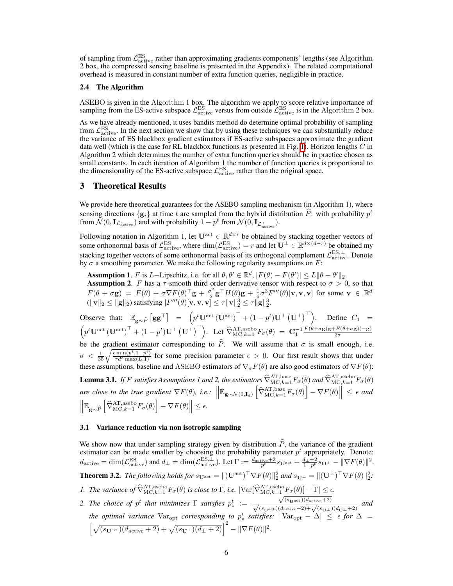of sampling from  $\mathcal{L}^{\text{ES}}_{\text{active}}$  rather than approximating gradients components' lengths (see Algorithm 2 box, the compressed sensing baseline is presented in the Appendix). The related computational overhead is measured in constant number of extra function queries, negligible in practice.

#### 2.4 The Algorithm

ASEBO is given in the Algorithm 1 box. The algorithm we apply to score relative importance of sampling from the ES-active subspace  $\mathcal{L}_{\text{active}}^{\text{ES}}$  versus from outside  $\mathcal{L}_{\text{active}}^{\text{ES}}$  is in the Algorithm 2 box.

As we have already mentioned, it uses bandits method do determine optimal probability of sampling from  $\mathcal{L}^{\text{ES}}_{\text{active}}$ . In the next section we show that by using these techniques we can substantially reduce the variance of ES blackbox gradient estimators if ES-active subspaces approximate the gradient data well (which is the case for RL blackbox functions as presented in Fig.  $\prod$ ). Horizon lengths *C* in Algorithm 2 which determines the number of extra function queries should be in practice chosen as small constants. In each iteration of Algorithm 1 the number of function queries is proportional to the dimensionality of the ES-active subspace  $\mathcal{L}^{\text{ES}}_{\text{active}}$  rather than the original space.

## 3 Theoretical Results

We provide here theoretical guarantees for the ASEBO sampling mechanism (in Algorithm 1), where sensing directions  $\{g_i\}$  at time *t* are sampled from the hybrid distribution *P*: with probability  $p^t$ from  $\mathcal{N}(0, \mathbf{I}_{\mathcal{L}_{\text{active}}})$  and with probability  $1 - p^t$  from  $\mathcal{N}(0, \mathbf{I}_{\mathcal{L}_{\text{active}}^{\perp}})$ .

Following notation in Algorithm 1, let  $U^{act} \in \mathbb{R}^{d \times r}$  be obtained by stacking together vectors of some orthonormal basis of  $\mathcal{L}_{\text{active}}^{\text{ES}}$ , where  $\dim(\mathcal{L}_{\text{active}}^{\text{ES}}) = r$  and let  $\mathbf{U}^{\perp} \in \mathbb{R}^{d \times (d-r)}$  be obtained my stacking together vectors of some orthonormal basis of its orthogonal complement  $\mathcal{L}^{\text{ES},\perp}_{\text{active}}$ . Denote by  $\sigma$  a smoothing parameter. We make the following regularity assumptions on  $F$ :

Assumption 1. *F* is *L*-Lipschitz, i.e. for all  $\theta, \theta' \in \mathbb{R}^d$ ,  $|F(\theta) - F(\theta')| \le L \|\theta - \theta'\|_2$ . **Assumption 2.** *F* has a  $\tau$ -smooth third order derivative tensor with respect to  $\sigma > 0$ , so that  $F(\theta + \sigma \mathbf{g}) = F(\theta) + \sigma \nabla F(\theta)^{\top} \mathbf{g} + \frac{\sigma^2}{2} \mathbf{g}^{\top} H(\theta) \mathbf{g} + \frac{1}{6} \sigma^3 F'''(\theta) [\mathbf{v}, \mathbf{v}, \mathbf{v}]$  for some  $\mathbf{v} \in \mathbb{R}^d$  $(\|\mathbf{v}\|_2 \le \|\mathbf{g}\|_2)$  satisfying  $|F'''(\theta)[\mathbf{v}, \mathbf{v}, \mathbf{v}] \le \tau \|\mathbf{v}\|_2^3 \le \tau \|\mathbf{g}\|_2^3$ .

Observe that:  $\mathbb{E}_{\mathbf{g} \sim \widehat{P}} [\mathbf{g} \mathbf{g}^{\top}] = \left( p^t \mathbf{U}^{\text{act}} (\mathbf{U}^{\text{act}})^{\top} + (1 - p^t) \mathbf{U}^{\perp} (\mathbf{U}^{\perp})^{\top} \right)$ . Define  $C_1$  =  $\left(p^t \mathbf{U}^{\text{act}} \left( \mathbf{U}^{\text{act}} \right)^{\top} + (1 - p^t) \mathbf{U}^{\perp} \left( \mathbf{U}^{\perp} \right)^{\top} \right)$ . Let  $\widehat{\nabla}_{\text{MC},k=1}^{\text{AT},\text{asebo}} F_{\sigma}(\theta) = \mathbf{C}_1^{-1} \frac{F(\theta + \sigma \mathbf{g}) \mathbf{g} + F(\theta + \sigma \mathbf{g})(-\mathbf{g})}{2\sigma}$ be the gradient estimator corresponding to  $\hat{P}$ . We will assume that  $\sigma$  is small enough, i.e.  $\sigma < \frac{1}{35} \sqrt{\frac{\epsilon \min(p^t, 1-p^t)}{\tau d^3 \max(L,1)}}$  for some precision parameter  $\epsilon > 0$ . Our first result shows that under these assumptions, baseline and ASEBO estimators of  $\nabla_{\sigma}F(\theta)$  are also good estimators of  $\nabla F(\theta)$ : **Lemma 3.1.** If F satisfies Assumptions 1 and 2, the estimators  $\widehat{\nabla}_{\text{MC},k=1}^{\text{AT},\text{base}} F_{\sigma}(\theta)$  and  $\widehat{\nabla}_{\text{MC},k=1}^{\text{AT},\text{asebo}} F_{\sigma}(\theta)$ *are close to the true gradient* r*F*(✓)*, i.e.:* E<sup>g</sup>⇠*N*(0*,*I*d*) h <sup>r</sup><sup>b</sup> AT*,*base MC*,k*=1*F*(✓) i r*F*(✓) ✏ *and*  $\Vert \mathbb{E}_{\mathbf{g} \sim \widehat{P}}$  $\left[ \widehat{\nabla}_{\text{MC},k=1}^{\text{AT},\text{asebo}} F_{\sigma}(\theta) \right] - \nabla F(\theta) \right\| \leq \epsilon.$ 

#### 3.1 Variance reduction via non isotropic sampling

<span id="page-5-0"></span>We show now that under sampling strategy given by distribution  $\hat{P}$ , the variance of the gradient estimator can be made smaller by choosing the probability parameter  $p<sup>t</sup>$  appropriately. Denote:  $d_{\text{active}} = \dim(\mathcal{L}_{\text{active}}^{\text{ES}})$  and  $d_{\perp} = \dim(\mathcal{L}_{\text{active}}^{\text{ES},\perp})$ . Let  $\Gamma := \frac{d_{\text{active}} + 2}{p^t} s_{\mathbf{U}^{\text{act}}} + \frac{d_{\perp} + 2}{1 - p^t} s_{\mathbf{U}^{\perp}} - ||\nabla F(\theta)||^2$ . **Theorem 3.2.** *The following holds for*  $s_{\mathbf{U}^{\text{act}}} = ||(\mathbf{U}^{\text{act}})^{\top}\nabla F(\theta)||_2^2$  *and*  $s_{\mathbf{U}^{\perp}} = ||(\mathbf{U}^{\perp})^{\top}\nabla F(\theta)||_2^2$ . *1. The variance of*  $\widehat{\nabla}_{\text{MC},k=1}^{\text{AT},\text{asebo}} F_{\sigma}(\theta)$  *is close to*  $\Gamma$ *, i.e.*  $|\text{Var}[\widehat{\nabla}_{\text{MC},k=1}^{\text{AT},\text{asebo}} F_{\sigma}(\theta)] - \Gamma| \leq \epsilon$ *.* 2. The choice of  $p^t$  that minimizes  $\Gamma$  satisfies  $p^t_* :=$  $\sqrt{(s_{\text{Uact}})(d_{\text{active}}+2)}$  $\frac{\sqrt{(s_{\text{U}}\text{act})(a_{\text{active}}+2)}}{\sqrt{(s_{\text{U}}\text{act})(d_{\text{active}}+2)} + \sqrt{(s_{\text{U}}\perp)(d_{\text{U}}+2)}}$  and the optimal variance  $\text{Var}_{\text{opt}}$  corresponding to  $p^t_*$  satisfies:  $|\text{Var}_{\text{opt}} - \Delta| \leq \epsilon$  for  $\Delta = \left[\sqrt{(s_{\text{U}} + (d_{\text{active}} + 2)} + \sqrt{(s_{\text{U}} + (d_{\text{U}} + 2))}\right]^2 - ||\nabla F(\theta)||^2$ .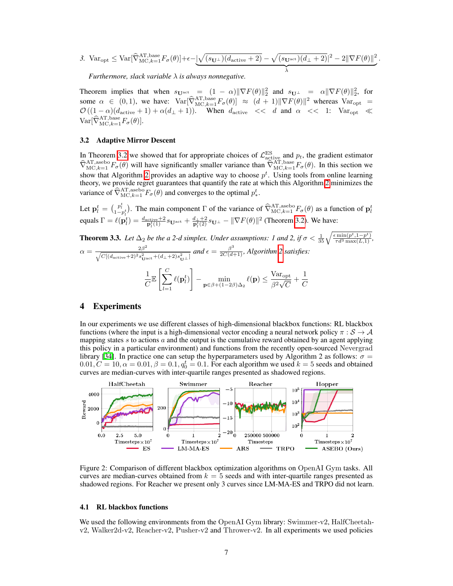3. 
$$
\text{Var}_{\text{opt}} \leq \text{Var}[\widehat{\nabla}_{\text{MC},k=1}^{\text{AT},\text{base}} F_{\sigma}(\theta)] + \epsilon - \underbrace{|\sqrt{(s_{\mathbf{U}^{\perp}})(d_{\text{active}}+2)} - \sqrt{(s_{\mathbf{U}^{\text{act}}})(d_{\perp}+2)}|^2 - 2\|\nabla F(\theta)\|^2}_{\lambda}.
$$

*Furthermore, slack variable is always nonnegative.*

Theorem implies that when  $s_{\mathbf{U}^{\text{act}}} = (1 - \alpha) \|\nabla F(\theta)\|_2^2$  and  $s_{\mathbf{U}^{\perp}} = \alpha \|\nabla F(\theta)\|_2^2$ , for some  $\alpha \in (0,1)$ , we have:  $\text{Var}[\widehat{\nabla}_{\text{MC},k=1}^{\text{AT},\text{base}} F_{\sigma}(\theta)] \approx (d+1) \|\nabla F(\theta)\|^2$  whereas  $\text{Var}_{\text{opt}} =$  $\mathcal{O}((1-\alpha)(d_{\text{active}}+1)+\alpha(d_{\perp}+1)).$  When  $d_{\text{active}} \ll d$  and  $\alpha \ll 1$ : Var<sub>opt</sub>  $\ll$  $\text{Var}[\widehat{\nabla}_{\text{MC},k=1}^{\text{AT},\text{base}} F_{\sigma}(\theta)].$ 

#### 3.2 Adaptive Mirror Descent

In Theorem  $3.2$  we showed that for appropriate choices of  $\mathcal{L}_{\text{active}}^{\text{ES}}$  and  $p_t$ , the gradient estimator  $\widehat{\nabla}_{\text{MC},k=1}^{\text{AT},\text{asebo}} F_{\sigma}(\theta)$  will have significantly smaller variance than  $\widehat{\nabla}_{\text{MC},k=1}^{\text{AT},\text{base}} F_{\sigma}(\theta)$ . In this section we show that Algorithm  $\boxed{2}$  provides an adaptive way to choose  $p^t$ . Using tools from online learning theory, we provide regret guarantees that quantify the rate at which this Algorithm  $\sqrt{2}$  minimizes the variance of  $\widehat{\nabla}_{MC,k=1}^{AT,\mathrm{asebo}} F_{\sigma}(\theta)$  and converges to the optimal  $p_*^t$ .

Let  $\mathbf{p}_l^t = \begin{pmatrix} p_l^t \\ 1 - p_l^t \end{pmatrix}$ . The main component  $\Gamma$  of the variance of  $\widehat{\nabla}_{\text{MC},k=1}^{\text{AT},\text{asebo}} F_{\sigma}(\theta)$  as a function of  $\mathbf{p}_l^t$ equals  $\Gamma = \ell(\mathbf{p}_l^t) = \frac{d_{\text{active}} + 2}{\mathbf{p}_l^t(1)} s_{\mathbf{U}^{\text{act}}} + \frac{d_+ + 2}{\mathbf{p}_l^t(2)} s_{\mathbf{U}^{\perp}} - ||\nabla F(\theta)||^2$  (Theorem [3.2\)](#page-5-0). We have:

**Theorem 3.3.** Let 
$$
\Delta_2
$$
 be the a 2-d simplex. Under assumptions: 1 and 2, if  $\sigma < \frac{1}{35} \sqrt{\frac{\epsilon \min(p^t, 1 - p^t)}{\tau d^3 \max(L, 1)}}$ ,  
\n
$$
\alpha = \frac{2\beta^2}{\sqrt{C[(d_{\text{active}} + 2)^2 s_{\text{yact}}^2 + (d_{\perp} + 2)s_{\text{ucl}}^2]}
$$
 and  $\epsilon = \frac{\beta^3}{2C(d+1)}$ , Algorithm 2 satisfies:  
\n
$$
\frac{1}{C} \mathbb{E}\left[\sum_{l=1}^{C} \ell(\mathbf{p}_l^t)\right] - \min_{\mathbf{p} \in \beta + (1 - 2\beta)\Delta_2} \ell(\mathbf{p}) \le \frac{\text{Var}_{\text{opt}}}{\beta^2 \sqrt{C}} + \frac{1}{C}
$$

## <span id="page-6-0"></span>4 Experiments

In our experiments we use different classes of high-dimensional blackbox functions: RL blackbox functions (where the input is a high-dimensional vector encoding a neural network policy  $\pi : S \to A$ mapping states *s* to actions *a* and the output is the cumulative reward obtained by an agent applying this policy in a particular environment) and functions from the recently open-sourced Nevergrad library [\[34\]](#page-9-13). In practice one can setup the hyperparameters used by Algorithm 2 as follows:  $\sigma =$  $0.01, C = 10, \alpha = 0.01, \beta = 0.1, q_0^t = 0.1$ . For each algorithm we used  $k = 5$  seeds and obtained curves are median-curves with inter-quartile ranges presented as shadowed regions.



<span id="page-6-1"></span>Figure 2: Comparison of different blackbox optimization algorithms on OpenAI Gym tasks. All curves are median-curves obtained from  $k = 5$  seeds and with inter-quartile ranges presented as shadowed regions. For Reacher we present only 3 curves since LM-MA-ES and TRPO did not learn.

#### 4.1 RL blackbox functions

We used the following environments from the OpenAI Gym library: Swimmer-v2, HalfCheetahv2, Walker2d-v2, Reacher-v2, Pusher-v2 and Thrower-v2. In all experiments we used policies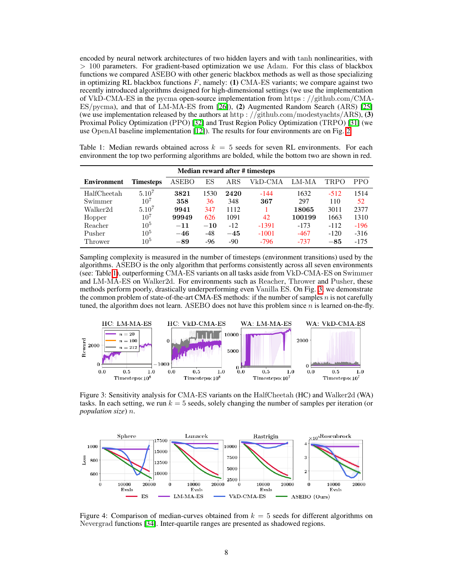encoded by neural network architectures of two hidden layers and with tanh nonlinearities, with *>* 100 parameters. For gradient-based optimization we use Adam. For this class of blackbox functions we compared ASEBO with other generic blackbox methods as well as those specializing in optimizing RL blackbox functions *F*, namely: (1) CMA-ES variants; we compare against two recently introduced algorithms designed for high-dimensional settings (we use the implementation of VkD-CMA-ES in the pycma open-source implementation from https : *//*github*.*com*/*CMA-ES*/*pycma), and that of LM-MA-ES from [\[26\]](#page-9-17)), (2) Augmented Random Search (ARS) [\[25\]](#page-9-3) (we use implementation released by the authors at http : *//*github*.*com*/*modestyachts*/*ARS), (3) Proximal Policy Optimization (PPO) **[\[32\]](#page-9-7)** and Trust Region Policy Optimization (TRPO) **[\[31\]](#page-9-9)** (we use OpenAI baseline implementation  $[12]$ ). The results for four environments are on Fig. [2.](#page-6-1)

<span id="page-7-1"></span>Table 1: Median rewards obtained across  $k = 5$  seeds for seven RL environments. For each environment the top two performing algorithms are bolded, while the bottom two are shown in red.

| Median reward after # timesteps |            |              |       |             |         |        |        |        |
|---------------------------------|------------|--------------|-------|-------------|---------|--------|--------|--------|
| Environment                     | Timesteps  | <b>ASEBO</b> | ES    | ${\rm ARS}$ | VkD-CMA | LM-MA  | TRPO   | PPO.   |
| HalfCheetah                     | $5.10^{7}$ | 3821         | 1530  | 2420        | $-144$  | 1632   | $-512$ | 1514   |
| Swimmer                         | $10^{7}$   | 358          | 36    | 348         | 367     | 297    | 110    | 52     |
| Walker2d                        | $5.10^{7}$ | 9941         | 347   | 1112        |         | 18065  | 3011   | 2377   |
| Hopper                          | $10^{7}$   | 99949        | 626   | 1091        | 42      | 100199 | 1663   | 1310   |
| Reacher                         | $10^{5}$   | $-11$        | $-10$ | $-12$       | -1391   | $-173$ | $-112$ | $-196$ |
| Pusher                          | $10^{5}$   | $-46$        | $-48$ | $-45$       | $-1001$ | $-467$ | $-120$ | $-316$ |
| Thrower                         | $10^{5}$   | $-89$        | -96   | $-90$       | $-796$  | $-737$ | $-85$  | $-175$ |

Sampling complexity is measured in the number of timesteps (environment transitions) used by the algorithms. ASEBO is the only algorithm that performs consistently across all seven environments (see: Table [1\)](#page-7-1), outperforming CMA-ES variants on all tasks aside from VkD-CMA-ES on Swimmer and  $LM-M\overline{A}-ES$  on Walker2d. For environments such as Reacher, Thrower and Pusher, these methods perform poorly, drastically underperforming even Vanilla ES. On Fig.  $\overline{3}$ , we demonstrate the common problem of state-of-the-art CMA-ES methods: if the number of samples *n* is not carefully tuned, the algorithm does not learn. ASEBO does not have this problem since *n* is learned on-the-fly.



<span id="page-7-0"></span>Figure 3: Sensitivity analysis for CMA-ES variants on the HalfCheetah (HC) and Walker2d (WA) tasks. In each setting, we run *k* = 5 seeds, solely changing the number of samples per iteration (or *population size*) *n*.



<span id="page-7-2"></span>Figure 4: Comparison of median-curves obtained from *k* = 5 seeds for different algorithms on Nevergrad functions [\[34\]](#page-9-13). Inter-quartile ranges are presented as shadowed regions.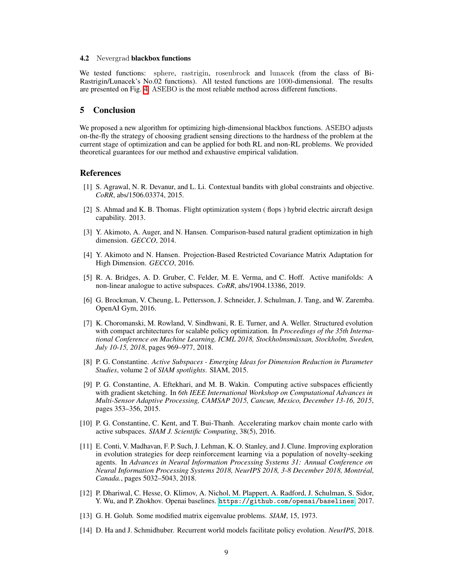#### 4.2 Nevergrad blackbox functions

We tested functions: sphere, rastrigin, rosenbrock and lunacek (from the class of Bi-Rastrigin/Lunacek's No.02 functions). All tested functions are 1000-dimensional. The results are presented on Fig.  $\overline{A}$ . ASEBO is the most reliable method across different functions.

# 5 Conclusion

We proposed a new algorithm for optimizing high-dimensional blackbox functions. ASEBO adjusts on-the-fly the strategy of choosing gradient sensing directions to the hardness of the problem at the current stage of optimization and can be applied for both RL and non-RL problems. We provided theoretical guarantees for our method and exhaustive empirical validation.

#### References

- <span id="page-8-11"></span>[1] S. Agrawal, N. R. Devanur, and L. Li. Contextual bandits with global constraints and objective. *CoRR*, abs/1506.03374, 2015.
- <span id="page-8-2"></span>[2] S. Ahmad and K. B. Thomas. Flight optimization system ( flops ) hybrid electric aircraft design capability. 2013.
- <span id="page-8-9"></span>[3] Y. Akimoto, A. Auger, and N. Hansen. Comparison-based natural gradient optimization in high dimension. *GECCO*, 2014.
- <span id="page-8-10"></span>[4] Y. Akimoto and N. Hansen. Projection-Based Restricted Covariance Matrix Adaptation for High Dimension. *GECCO*, 2016.
- <span id="page-8-8"></span>[5] R. A. Bridges, A. D. Gruber, C. Felder, M. E. Verma, and C. Hoff. Active manifolds: A non-linear analogue to active subspaces. *CoRR*, abs/1904.13386, 2019.
- <span id="page-8-1"></span>[6] G. Brockman, V. Cheung, L. Pettersson, J. Schneider, J. Schulman, J. Tang, and W. Zaremba. OpenAI Gym, 2016.
- <span id="page-8-4"></span>[7] K. Choromanski, M. Rowland, V. Sindhwani, R. E. Turner, and A. Weller. Structured evolution with compact architectures for scalable policy optimization. In *Proceedings of the 35th International Conference on Machine Learning, ICML 2018, Stockholmsmassan, Stockholm, Sweden, ¨ July 10-15, 2018*, pages 969–977, 2018.
- <span id="page-8-0"></span>[8] P. G. Constantine. *Active Subspaces - Emerging Ideas for Dimension Reduction in Parameter Studies*, volume 2 of *SIAM spotlights*. SIAM, 2015.
- <span id="page-8-7"></span>[9] P. G. Constantine, A. Eftekhari, and M. B. Wakin. Computing active subspaces efficiently with gradient sketching. In *6th IEEE International Workshop on Computational Advances in Multi-Sensor Adaptive Processing, CAMSAP 2015, Cancun, Mexico, December 13-16, 2015*, pages 353–356, 2015.
- <span id="page-8-6"></span>[10] P. G. Constantine, C. Kent, and T. Bui-Thanh. Accelerating markov chain monte carlo with active subspaces. *SIAM J. Scientific Computing*, 38(5), 2016.
- <span id="page-8-3"></span>[11] E. Conti, V. Madhavan, F. P. Such, J. Lehman, K. O. Stanley, and J. Clune. Improving exploration in evolution strategies for deep reinforcement learning via a population of novelty-seeking agents. In *Advances in Neural Information Processing Systems 31: Annual Conference on Neural Information Processing Systems 2018, NeurIPS 2018, 3-8 December 2018, Montreal, ´ Canada.*, pages 5032–5043, 2018.
- <span id="page-8-13"></span>[12] P. Dhariwal, C. Hesse, O. Klimov, A. Nichol, M. Plappert, A. Radford, J. Schulman, S. Sidor, Y. Wu, and P. Zhokhov. Openai baselines. <https://github.com/openai/baselines>, 2017.
- <span id="page-8-12"></span>[13] G. H. Golub. Some modified matrix eigenvalue problems. *SIAM*, 15, 1973.
- <span id="page-8-5"></span>[14] D. Ha and J. Schmidhuber. Recurrent world models facilitate policy evolution. *NeurIPS*, 2018.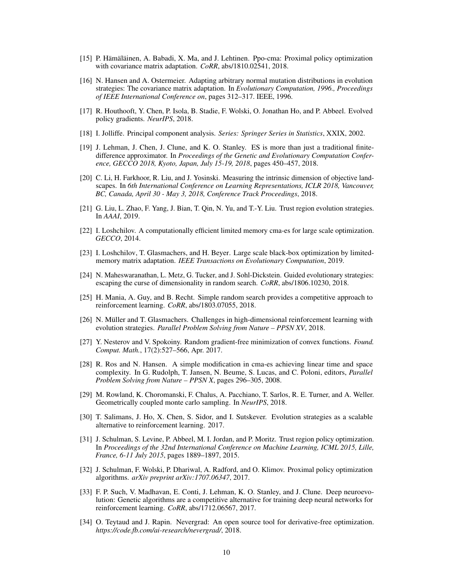- <span id="page-9-8"></span> $[15]$  P. Hämäläinen, A. Babadi, X. Ma, and J. Lehtinen. Ppo-cma: Proximal policy optimization with covariance matrix adaptation. *CoRR*, abs/1810.02541, 2018.
- [16] N. Hansen and A. Ostermeier. Adapting arbitrary normal mutation distributions in evolution strategies: The covariance matrix adaptation. In *Evolutionary Computation, 1996., Proceedings of IEEE International Conference on*, pages 312–317. IEEE, 1996.
- <span id="page-9-10"></span>[17] R. Houthooft, Y. Chen, P. Isola, B. Stadie, F. Wolski, O. Jonathan Ho, and P. Abbeel. Evolved policy gradients. *NeurIPS*, 2018.
- <span id="page-9-18"></span>[18] I. Jolliffe. Principal component analysis. *Series: Springer Series in Statistics*, XXIX, 2002.
- <span id="page-9-6"></span>[19] J. Lehman, J. Chen, J. Clune, and K. O. Stanley. ES is more than just a traditional finitedifference approximator. In *Proceedings of the Genetic and Evolutionary Computation Conference, GECCO 2018, Kyoto, Japan, July 15-19, 2018*, pages 450–457, 2018.
- <span id="page-9-11"></span>[20] C. Li, H. Farkhoor, R. Liu, and J. Yosinski. Measuring the intrinsic dimension of objective landscapes. In *6th International Conference on Learning Representations, ICLR 2018, Vancouver, BC, Canada, April 30 - May 3, 2018, Conference Track Proceedings*, 2018.
- <span id="page-9-5"></span>[21] G. Liu, L. Zhao, F. Yang, J. Bian, T. Qin, N. Yu, and T.-Y. Liu. Trust region evolution strategies. In *AAAI*, 2019.
- <span id="page-9-15"></span>[22] I. Loshchilov. A computationally efficient limited memory cma-es for large scale optimization. *GECCO*, 2014.
- <span id="page-9-16"></span>[23] I. Loshchilov, T. Glasmachers, and H. Beyer. Large scale black-box optimization by limitedmemory matrix adaptation. *IEEE Transactions on Evolutionary Computation*, 2019.
- <span id="page-9-12"></span>[24] N. Maheswaranathan, L. Metz, G. Tucker, and J. Sohl-Dickstein. Guided evolutionary strategies: escaping the curse of dimensionality in random search. *CoRR*, abs/1806.10230, 2018.
- <span id="page-9-3"></span>[25] H. Mania, A. Guy, and B. Recht. Simple random search provides a competitive approach to reinforcement learning. *CoRR*, abs/1803.07055, 2018.
- <span id="page-9-17"></span>[26] N. Müller and T. Glasmachers. Challenges in high-dimensional reinforcement learning with evolution strategies. *Parallel Problem Solving from Nature – PPSN XV*, 2018.
- <span id="page-9-0"></span>[27] Y. Nesterov and V. Spokoiny. Random gradient-free minimization of convex functions. *Found. Comput. Math.*, 17(2):527–566, Apr. 2017.
- <span id="page-9-14"></span>[28] R. Ros and N. Hansen. A simple modification in cma-es achieving linear time and space complexity. In G. Rudolph, T. Jansen, N. Beume, S. Lucas, and C. Poloni, editors, *Parallel Problem Solving from Nature – PPSN X*, pages 296–305, 2008.
- <span id="page-9-2"></span>[29] M. Rowland, K. Choromanski, F. Chalus, A. Pacchiano, T. Sarlos, R. E. Turner, and A. Weller. Geometrically coupled monte carlo sampling. In *NeurIPS*, 2018.
- <span id="page-9-4"></span>[30] T. Salimans, J. Ho, X. Chen, S. Sidor, and I. Sutskever. Evolution strategies as a scalable alternative to reinforcement learning. 2017.
- <span id="page-9-9"></span>[31] J. Schulman, S. Levine, P. Abbeel, M. I. Jordan, and P. Moritz. Trust region policy optimization. In *Proceedings of the 32nd International Conference on Machine Learning, ICML 2015, Lille, France, 6-11 July 2015*, pages 1889–1897, 2015.
- <span id="page-9-7"></span>[32] J. Schulman, F. Wolski, P. Dhariwal, A. Radford, and O. Klimov. Proximal policy optimization algorithms. *arXiv preprint arXiv:1707.06347*, 2017.
- <span id="page-9-1"></span>[33] F. P. Such, V. Madhavan, E. Conti, J. Lehman, K. O. Stanley, and J. Clune. Deep neuroevolution: Genetic algorithms are a competitive alternative for training deep neural networks for reinforcement learning. *CoRR*, abs/1712.06567, 2017.
- <span id="page-9-13"></span>[34] O. Teytaud and J. Rapin. Nevergrad: An open source tool for derivative-free optimization. *https://code.fb.com/ai-research/nevergrad/*, 2018.